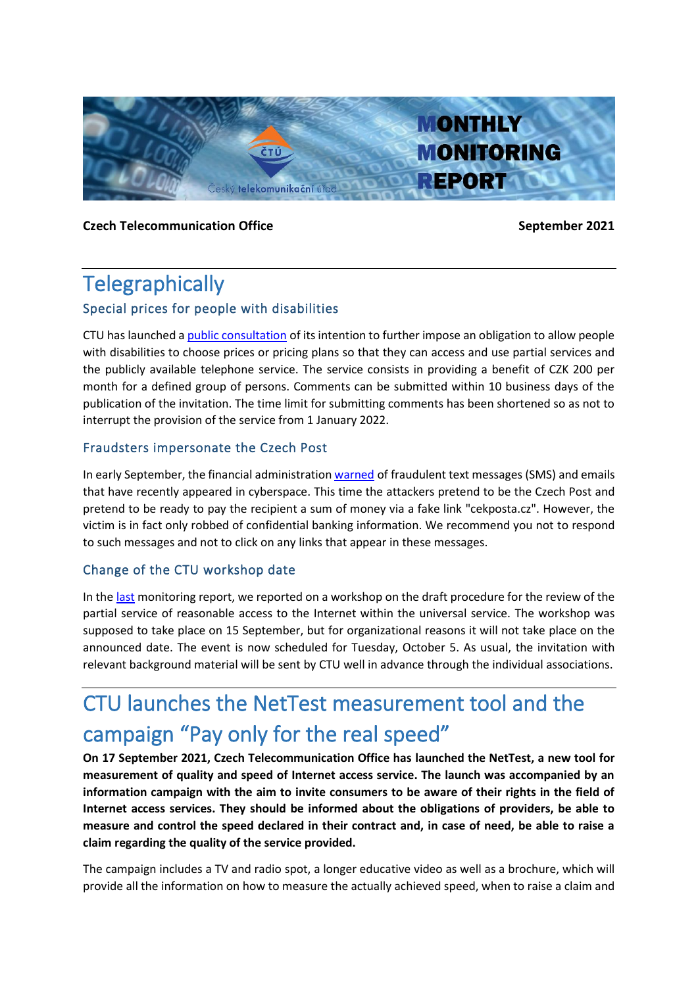

**Czech Telecommunication Office September 2021** 

# **Telegraphically**

## Special prices for people with disabilities

CTU has launched a [public consultation](https://www.ctu.cz/vyzva-k-uplatneni-pripominek-k-zameru-ulozit-v-ramci-univerzalni-sluzby-povinnost-4) of its intention to further impose an obligation to allow people with disabilities to choose prices or pricing plans so that they can access and use partial services and the publicly available telephone service. The service consists in providing a benefit of CZK 200 per month for a defined group of persons. Comments can be submitted within 10 business days of the publication of the invitation. The time limit for submitting comments has been shortened so as not to interrupt the provision of the service from 1 January 2022.

### Fraudsters impersonate the Czech Post

In early September, the financial administration [warned](https://www.financnisprava.cz/cs/financni-sprava/media-a-verejnost/tiskove-zpravy/2021/FS-upozornuje-na-podvodne-SMS-a-emaily-11653) of fraudulent text messages (SMS) and emails that have recently appeared in cyberspace. This time the attackers pretend to be the Czech Post and pretend to be ready to pay the recipient a sum of money via a fake link "cekposta.cz". However, the victim is in fact only robbed of confidential banking information. We recommend you not to respond to such messages and not to click on any links that appear in these messages.

## Change of the CTU workshop date

In the [last](https://www.ctu.eu/sites/default/files/obsah/ctu/monthly-monitoring-report-no.8/2021/obrazky/mz20218naweb_0.pdf) monitoring report, we reported on a workshop on the draft procedure for the review of the partial service of reasonable access to the Internet within the universal service. The workshop was supposed to take place on 15 September, but for organizational reasons it will not take place on the announced date. The event is now scheduled for Tuesday, October 5. As usual, the invitation with relevant background material will be sent by CTU well in advance through the individual associations.

# CTU launches the NetTest measurement tool and the campaign "Pay only for the real speed"

**On 17 September 2021, Czech Telecommunication Office has launched the NetTest, a new tool for measurement of quality and speed of Internet access service. The launch was accompanied by an information campaign with the aim to invite consumers to be aware of their rights in the field of Internet access services. They should be informed about the obligations of providers, be able to measure and control the speed declared in their contract and, in case of need, be able to raise a claim regarding the quality of the service provided.**

The campaign includes a TV and radio spot, a longer educative video as well as a brochure, which will provide all the information on how to measure the actually achieved speed, when to raise a claim and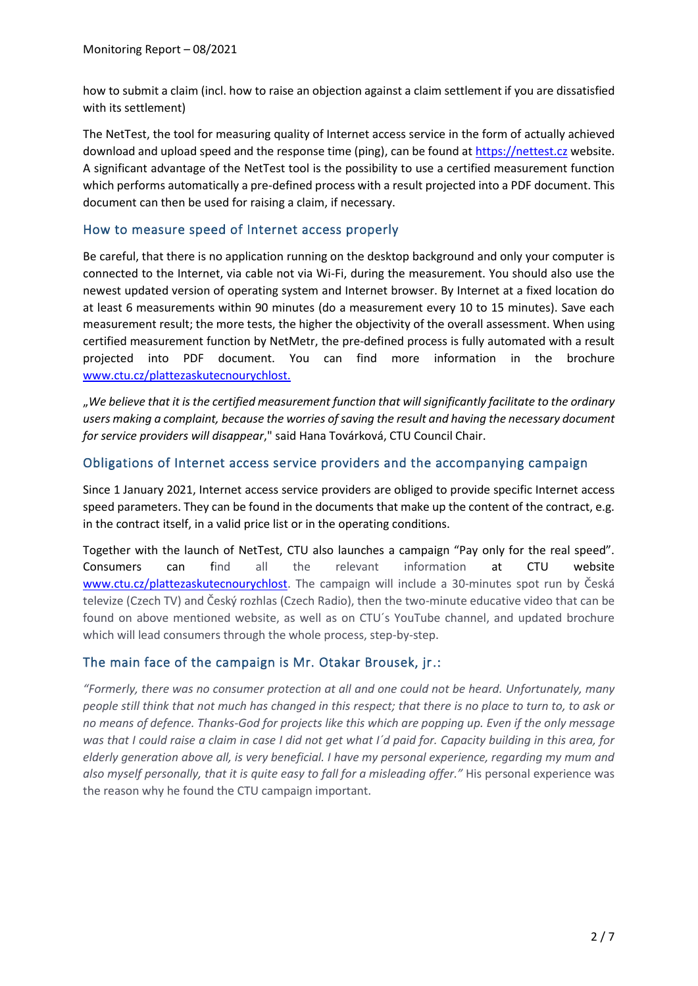how to submit a claim (incl. how to raise an objection against a claim settlement if you are dissatisfied with its settlement)

The NetTest, the tool for measuring quality of Internet access service in the form of actually achieved download and upload speed and the response time (ping), can be found at [https://nettest.cz](https://nettest.cz/cs/) website. A significant advantage of the NetTest tool is the possibility to use a certified measurement function which performs automatically a pre-defined process with a result projected into a PDF document. This document can then be used for raising a claim, if necessary.

#### How to measure speed of Internet access properly

Be careful, that there is no application running on the desktop background and only your computer is connected to the Internet, via cable not via Wi-Fi, during the measurement. You should also use the newest updated version of operating system and Internet browser. By Internet at a fixed location do at least 6 measurements within 90 minutes (do a measurement every 10 to 15 minutes). Save each measurement result; the more tests, the higher the objectivity of the overall assessment. When using certified measurement function by NetMetr, the pre-defined process is fully automated with a result projected into PDF document. You can find more information in the brochure [www.ctu.cz/plattezaskutecnourychlost.](http://www.ctu.cz/plattezaskutecnourychlost)

"*We believe that it is the certified measurement function that will significantly facilitate to the ordinary users making a complaint, because the worries of saving the result and having the necessary document for service providers will disappear*," said Hana Továrková, CTU Council Chair.

#### Obligations of Internet access service providers and the accompanying campaign

Since 1 January 2021, Internet access service providers are obliged to provide specific Internet access speed parameters. They can be found in the documents that make up the content of the contract, e.g. in the contract itself, in a valid price list or in the operating conditions.

Together with the launch of NetTest, CTU also launches a campaign "Pay only for the real speed". Consumers can find all the relevant information at CTU website [www.ctu.cz/plattezaskutecnourychlost.](http://www.ctu.cz/plattezaskutecnourychlost) The campaign will include a 30-minutes spot run by Česká televize (Czech TV) and Český rozhlas (Czech Radio), then the two-minute educative video that can be found on above mentioned website, as well as on CTU´s YouTube channel, and updated brochure which will lead consumers through the whole process, step-by-step.

### The main face of the campaign is Mr. Otakar Brousek, jr.:

*"Formerly, there was no consumer protection at all and one could not be heard. Unfortunately, many people still think that not much has changed in this respect; that there is no place to turn to, to ask or no means of defence. Thanks-God for projects like this which are popping up. Even if the only message was that I could raise a claim in case I did not get what I´d paid for. Capacity building in this area, for elderly generation above all, is very beneficial. I have my personal experience, regarding my mum and also myself personally, that it is quite easy to fall for a misleading offer."* His personal experience was the reason why he found the CTU campaign important.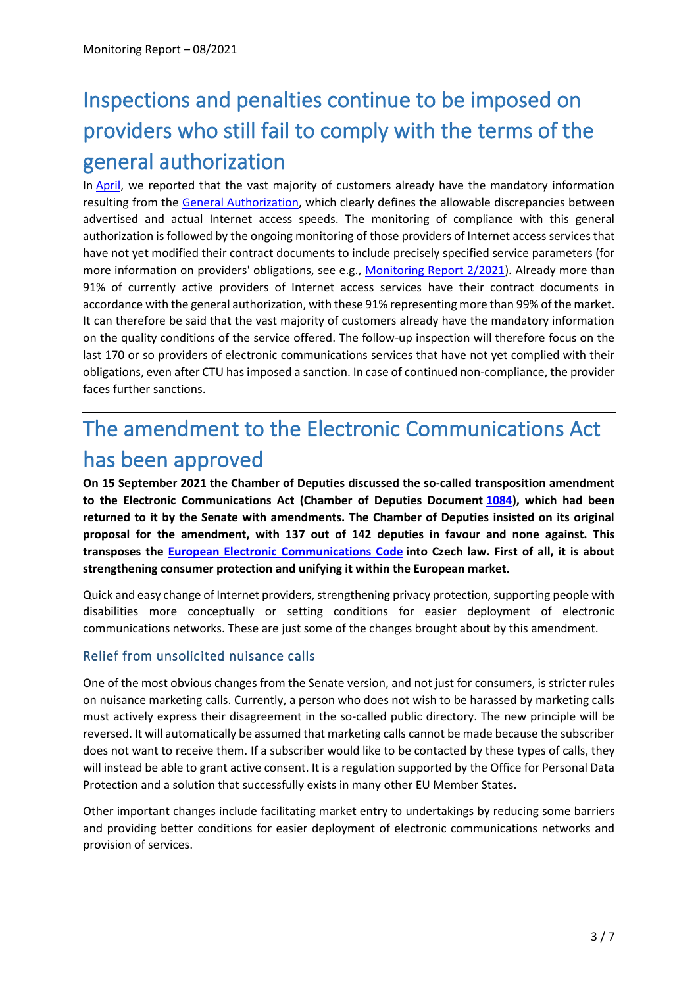# Inspections and penalties continue to be imposed on providers who still fail to comply with the terms of the general authorization

In [April,](https://www.ctu.eu/sites/default/files/obsah/ctu/monthly-monitoring-report-no.4/2021/obrazky/monthlymonitoringreport42021en_0.pdf) we reported that the vast majority of customers already have the mandatory information resulting from the [General Authorization,](https://www.ctu.eu/sites/default/files/obsah/stranky/74784/soubory/vo-s-10820209en.pdf) which clearly defines the allowable discrepancies between advertised and actual Internet access speeds. The monitoring of compliance with this general authorization is followed by the ongoing monitoring of those providers of Internet access services that have not yet modified their contract documents to include precisely specified service parameters (for more information on providers' obligations, see e.g., [Monitoring Report 2/2021\)](https://www.ctu.eu/sites/default/files/obsah/ctu/monthly-monitoring-report-no.2/2021/obrazky/mz2021-02enfinal.pdf). Already more than 91% of currently active providers of Internet access services have their contract documents in accordance with the general authorization, with these 91% representing more than 99% of the market. It can therefore be said that the vast majority of customers already have the mandatory information on the quality conditions of the service offered. The follow-up inspection will therefore focus on the last 170 or so providers of electronic communications services that have not yet complied with their obligations, even after CTU has imposed a sanction. In case of continued non-compliance, the provider faces further sanctions.

# The amendment to the Electronic Communications Act has been approved

**On 15 September 2021 the Chamber of Deputies discussed the so-called transposition amendment to the Electronic Communications Act (Chamber of Deputies Document [1084\)](https://www.psp.cz/sqw/historie.sqw?o=8&T=1084), which had been returned to it by the Senate with amendments. The Chamber of Deputies insisted on its original proposal for the amendment, with 137 out of 142 deputies in favour and none against. This transposes the [European Electronic Communications Code](https://eur-lex.europa.eu/legal-content/EN/TXT/?uri=CELEX%3A32018L1972) into Czech law. First of all, it is about strengthening consumer protection and unifying it within the European market.**

Quick and easy change of Internet providers, strengthening privacy protection, supporting people with disabilities more conceptually or setting conditions for easier deployment of electronic communications networks. These are just some of the changes brought about by this amendment.

## Relief from unsolicited nuisance calls

One of the most obvious changes from the Senate version, and not just for consumers, is stricter rules on nuisance marketing calls. Currently, a person who does not wish to be harassed by marketing calls must actively express their disagreement in the so-called public directory. The new principle will be reversed. It will automatically be assumed that marketing calls cannot be made because the subscriber does not want to receive them. If a subscriber would like to be contacted by these types of calls, they will instead be able to grant active consent. It is a regulation supported by the Office for Personal Data Protection and a solution that successfully exists in many other EU Member States.

Other important changes include facilitating market entry to undertakings by reducing some barriers and providing better conditions for easier deployment of electronic communications networks and provision of services.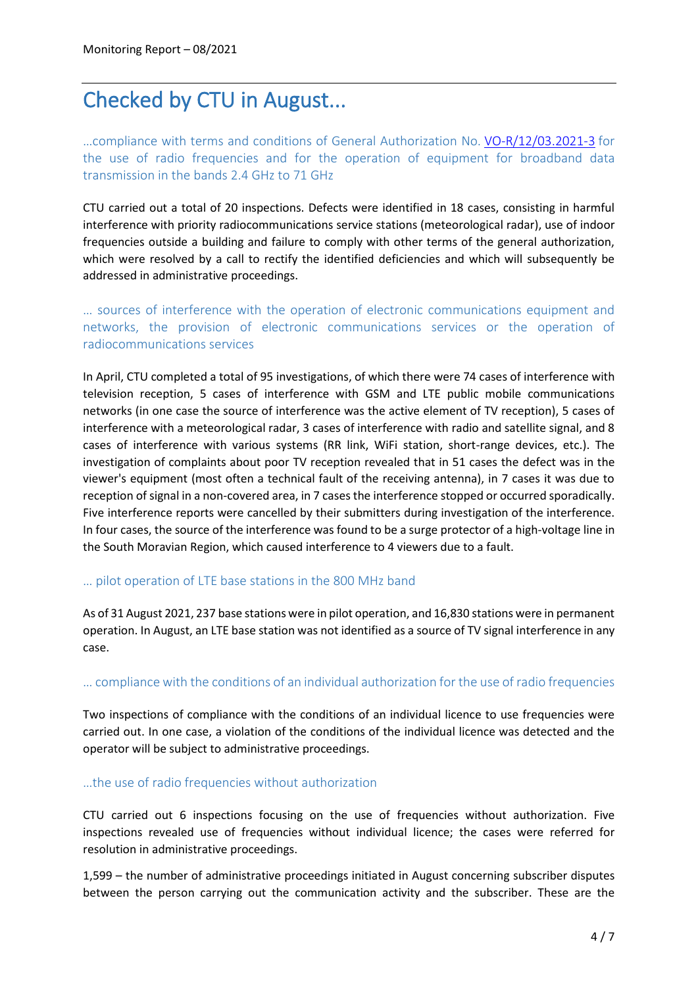# Checked by CTU in August...

…compliance with terms and conditions of General Authorization No. [VO-R/12/03.2021-3](https://www.ctu.eu/sites/default/files/obsah/stranky/74784/soubory/vo-r-12-03.2021-3enfin.pdf) for the use of radio frequencies and for the operation of equipment for broadband data transmission in the bands 2.4 GHz to 71 GHz

CTU carried out a total of 20 inspections. Defects were identified in 18 cases, consisting in harmful interference with priority radiocommunications service stations (meteorological radar), use of indoor frequencies outside a building and failure to comply with other terms of the general authorization, which were resolved by a call to rectify the identified deficiencies and which will subsequently be addressed in administrative proceedings.

… sources of interference with the operation of electronic communications equipment and networks, the provision of electronic communications services or the operation of radiocommunications services

In April, CTU completed a total of 95 investigations, of which there were 74 cases of interference with television reception, 5 cases of interference with GSM and LTE public mobile communications networks (in one case the source of interference was the active element of TV reception), 5 cases of interference with a meteorological radar, 3 cases of interference with radio and satellite signal, and 8 cases of interference with various systems (RR link, WiFi station, short-range devices, etc.). The investigation of complaints about poor TV reception revealed that in 51 cases the defect was in the viewer's equipment (most often a technical fault of the receiving antenna), in 7 cases it was due to reception of signal in a non-covered area, in 7 cases the interference stopped or occurred sporadically. Five interference reports were cancelled by their submitters during investigation of the interference. In four cases, the source of the interference was found to be a surge protector of a high-voltage line in the South Moravian Region, which caused interference to 4 viewers due to a fault.

#### … pilot operation of LTE base stations in the 800 MHz band

As of 31 August 2021, 237 base stations were in pilot operation, and 16,830 stations were in permanent operation. In August, an LTE base station was not identified as a source of TV signal interference in any case.

#### … compliance with the conditions of an individual authorization for the use of radio frequencies

Two inspections of compliance with the conditions of an individual licence to use frequencies were carried out. In one case, a violation of the conditions of the individual licence was detected and the operator will be subject to administrative proceedings.

#### …the use of radio frequencies without authorization

CTU carried out 6 inspections focusing on the use of frequencies without authorization. Five inspections revealed use of frequencies without individual licence; the cases were referred for resolution in administrative proceedings.

1,599 – the number of administrative proceedings initiated in August concerning subscriber disputes between the person carrying out the communication activity and the subscriber. These are the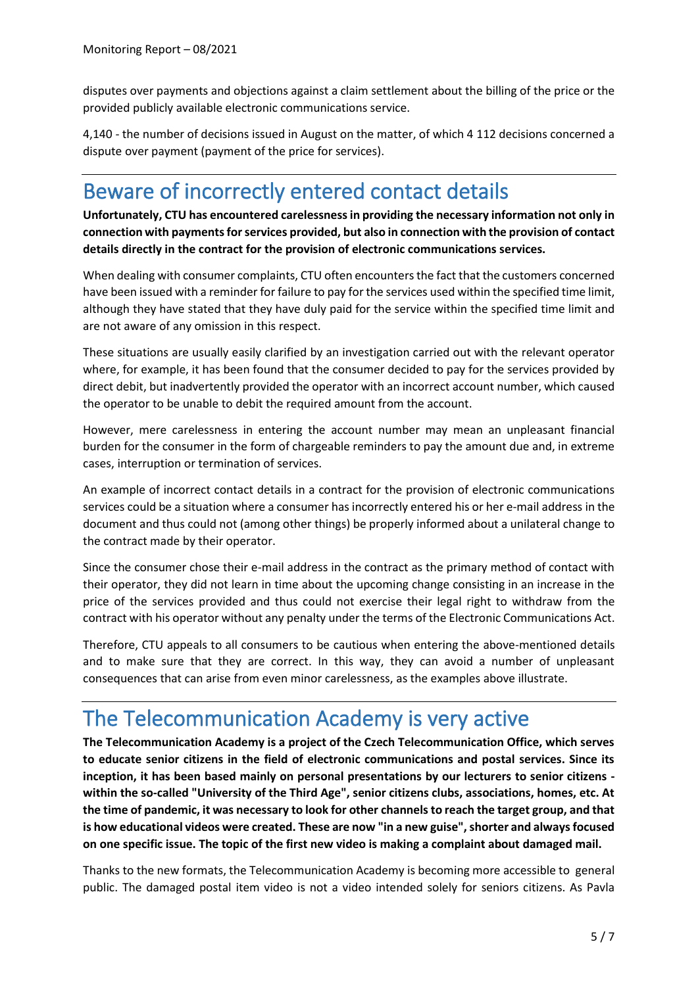disputes over payments and objections against a claim settlement about the billing of the price or the provided publicly available electronic communications service.

4,140 - the number of decisions issued in August on the matter, of which 4 112 decisions concerned a dispute over payment (payment of the price for services).

# Beware of incorrectly entered contact details

**Unfortunately, CTU has encountered carelessness in providing the necessary information not only in connection with payments for services provided, but also in connection with the provision of contact details directly in the contract for the provision of electronic communications services.**

When dealing with consumer complaints, CTU often encounters the fact that the customers concerned have been issued with a reminder for failure to pay for the services used within the specified time limit, although they have stated that they have duly paid for the service within the specified time limit and are not aware of any omission in this respect.

These situations are usually easily clarified by an investigation carried out with the relevant operator where, for example, it has been found that the consumer decided to pay for the services provided by direct debit, but inadvertently provided the operator with an incorrect account number, which caused the operator to be unable to debit the required amount from the account.

However, mere carelessness in entering the account number may mean an unpleasant financial burden for the consumer in the form of chargeable reminders to pay the amount due and, in extreme cases, interruption or termination of services.

An example of incorrect contact details in a contract for the provision of electronic communications services could be a situation where a consumer has incorrectly entered his or her e-mail address in the document and thus could not (among other things) be properly informed about a unilateral change to the contract made by their operator.

Since the consumer chose their e-mail address in the contract as the primary method of contact with their operator, they did not learn in time about the upcoming change consisting in an increase in the price of the services provided and thus could not exercise their legal right to withdraw from the contract with his operator without any penalty under the terms of the Electronic Communications Act.

Therefore, CTU appeals to all consumers to be cautious when entering the above-mentioned details and to make sure that they are correct. In this way, they can avoid a number of unpleasant consequences that can arise from even minor carelessness, as the examples above illustrate.

# The Telecommunication Academy is very active

**The Telecommunication Academy is a project of the Czech Telecommunication Office, which serves to educate senior citizens in the field of electronic communications and postal services. Since its inception, it has been based mainly on personal presentations by our lecturers to senior citizens within the so-called "University of the Third Age", senior citizens clubs, associations, homes, etc. At the time of pandemic, it was necessary to look for other channels to reach the target group, and that is how educational videos were created. These are now "in a new guise", shorter and always focused on one specific issue. The topic of the first new video is making a complaint about damaged mail.**

Thanks to the new formats, the Telecommunication Academy is becoming more accessible to general public. The damaged postal item video is not a video intended solely for seniors citizens. As Pavla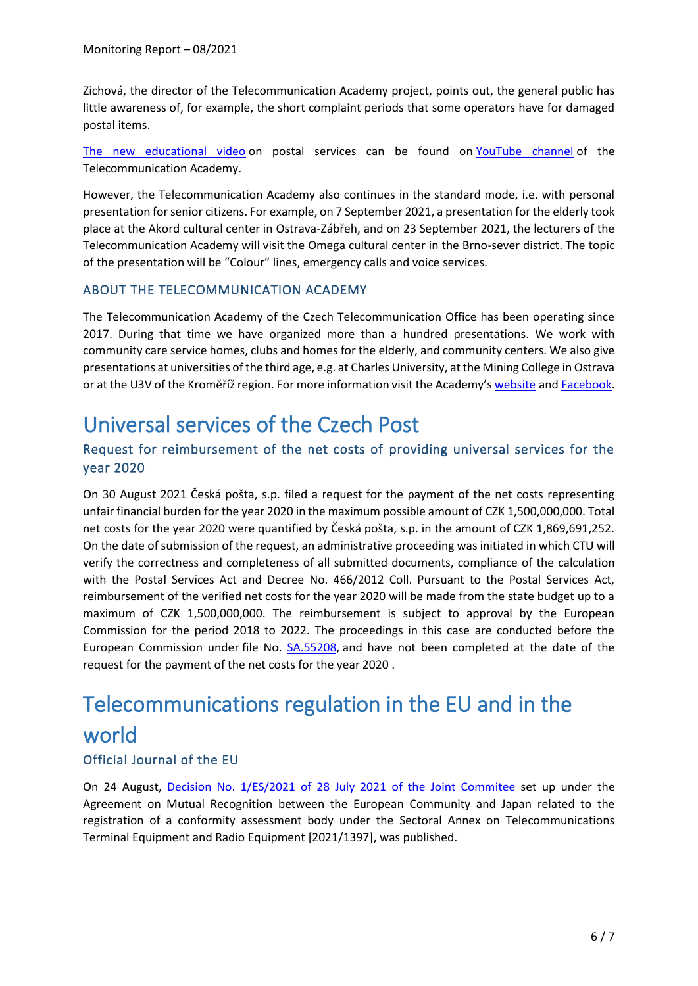Zichová, the director of the Telecommunication Academy project, points out, the general public has little awareness of, for example, the short complaint periods that some operators have for damaged postal items.

[The new educational video](https://www.youtube.com/watch?v=_joXEE8FSBc) on postal services can be found on [YouTube channel](https://www.youtube.com/channel/UCuNFPE5ti2OKLgMQnau1OwQ) of the Telecommunication Academy.

However, the Telecommunication Academy also continues in the standard mode, i.e. with personal presentation for senior citizens. For example, on 7 September 2021, a presentation for the elderly took place at the Akord cultural center in Ostrava-Zábřeh, and on 23 September 2021, the lecturers of the Telecommunication Academy will visit the Omega cultural center in the Brno-sever district. The topic of the presentation will be "Colour" lines, emergency calls and voice services.

#### ABOUT THE TELECOMMUNICATION ACADEMY

The Telecommunication Academy of the Czech Telecommunication Office has been operating since 2017. During that time we have organized more than a hundred presentations. We work with community care service homes, clubs and homes for the elderly, and community centers. We also give presentations at universities of the third age, e.g. at Charles University, at the Mining College in Ostrava or at the U3V of the Kroměříž region. For more information visit the Academy's [website](https://akademie.ctu.cz/) and [Facebook.](https://www.facebook.com/telcoakademie)

# Universal services of the Czech Post

## Request for reimbursement of the net costs of providing universal services for the year 2020

On 30 August 2021 Česká pošta, s.p. filed a request for the payment of the net costs representing unfair financial burden for the year 2020 in the maximum possible amount of CZK 1,500,000,000. Total net costs for the year 2020 were quantified by Česká pošta, s.p. in the amount of CZK 1,869,691,252. On the date of submission of the request, an administrative proceeding was initiated in which CTU will verify the correctness and completeness of all submitted documents, compliance of the calculation with the Postal Services Act and Decree No. 466/2012 Coll. Pursuant to the Postal Services Act, reimbursement of the verified net costs for the year 2020 will be made from the state budget up to a maximum of CZK 1,500,000,000. The reimbursement is subject to approval by the European Commission for the period 2018 to 2022. The proceedings in this case are conducted before the European Commission under file No. [SA.55208,](https://ec.europa.eu/competition/elojade/isef/case_details.cfm?proc_code=3_SA_55208#main-content) and have not been completed at the date of the request for the payment of the net costs for the year 2020 .

# Telecommunications regulation in the EU and in the world

## Official Journal of the EU

On 24 August, Decision [No. 1/ES/2021 of 28 July 2021](https://eur-lex.europa.eu/legal-content/EN/TXT/PDF/?uri=CELEX:22021D1397&from=EN) of the Joint Commitee set up under the Agreement on Mutual Recognition between the European Community and Japan related to the registration of a conformity assessment body under the Sectoral Annex on Telecommunications Terminal Equipment and Radio Equipment [2021/1397], was published.